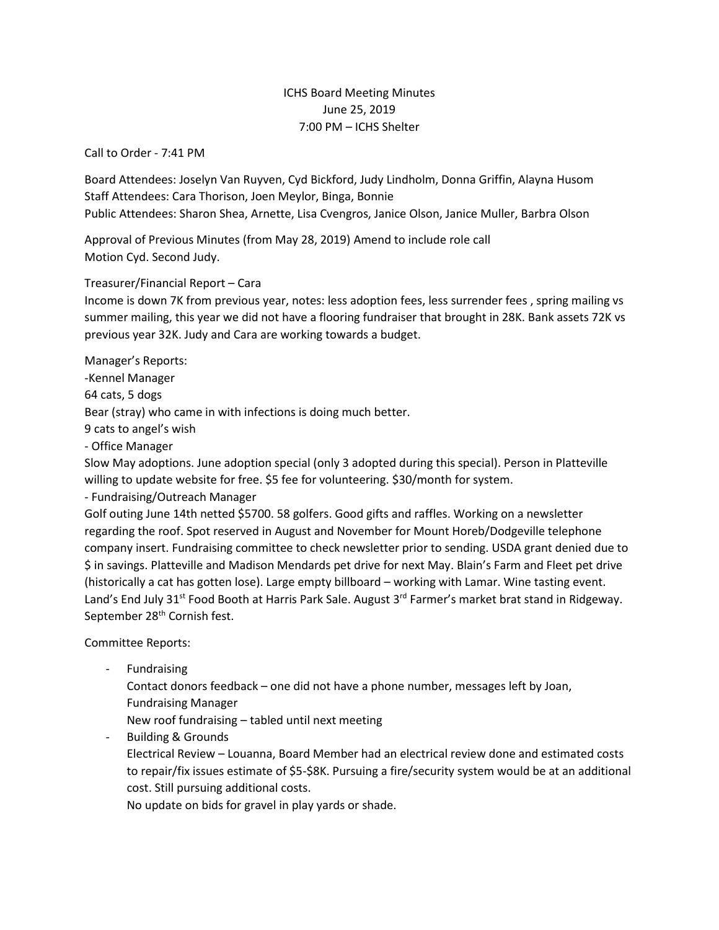## ICHS Board Meeting Minutes June 25, 2019 7:00 PM – ICHS Shelter

Call to Order - 7:41 PM

Board Attendees: Joselyn Van Ruyven, Cyd Bickford, Judy Lindholm, Donna Griffin, Alayna Husom Staff Attendees: Cara Thorison, Joen Meylor, Binga, Bonnie Public Attendees: Sharon Shea, Arnette, Lisa Cvengros, Janice Olson, Janice Muller, Barbra Olson

Approval of Previous Minutes (from May 28, 2019) Amend to include role call Motion Cyd. Second Judy.

Treasurer/Financial Report – Cara

Income is down 7K from previous year, notes: less adoption fees, less surrender fees , spring mailing vs summer mailing, this year we did not have a flooring fundraiser that brought in 28K. Bank assets 72K vs previous year 32K. Judy and Cara are working towards a budget.

Manager's Reports:

-Kennel Manager

64 cats, 5 dogs

Bear (stray) who came in with infections is doing much better.

9 cats to angel's wish

- Office Manager

Slow May adoptions. June adoption special (only 3 adopted during this special). Person in Platteville willing to update website for free. \$5 fee for volunteering. \$30/month for system.

- Fundraising/Outreach Manager

Golf outing June 14th netted \$5700. 58 golfers. Good gifts and raffles. Working on a newsletter regarding the roof. Spot reserved in August and November for Mount Horeb/Dodgeville telephone company insert. Fundraising committee to check newsletter prior to sending. USDA grant denied due to \$ in savings. Platteville and Madison Mendards pet drive for next May. Blain's Farm and Fleet pet drive (historically a cat has gotten lose). Large empty billboard – working with Lamar. Wine tasting event. Land's End July 31<sup>st</sup> Food Booth at Harris Park Sale. August 3<sup>rd</sup> Farmer's market brat stand in Ridgeway. September 28<sup>th</sup> Cornish fest.

Committee Reports:

**Fundraising** 

Contact donors feedback – one did not have a phone number, messages left by Joan, Fundraising Manager

New roof fundraising – tabled until next meeting

- Building & Grounds

Electrical Review – Louanna, Board Member had an electrical review done and estimated costs to repair/fix issues estimate of \$5-\$8K. Pursuing a fire/security system would be at an additional cost. Still pursuing additional costs.

No update on bids for gravel in play yards or shade.